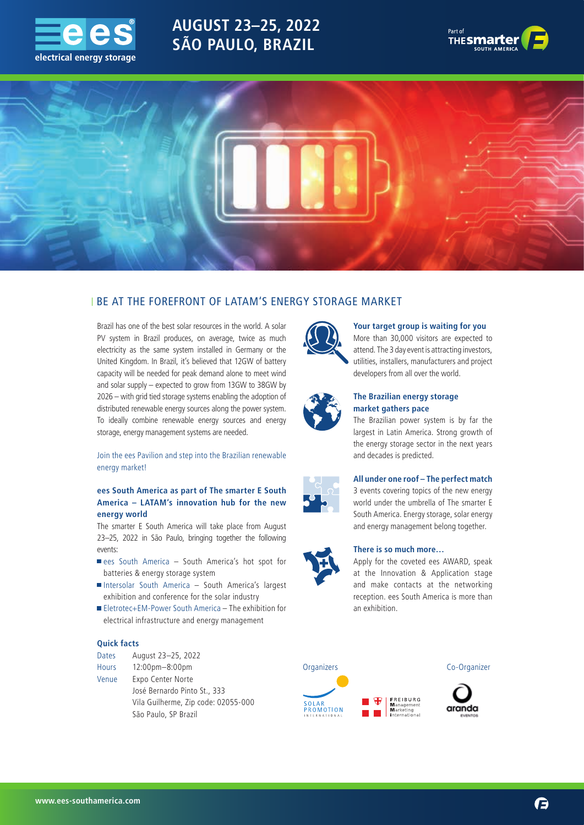

# **AUGUST 23–25, 2022 SÃO PAULO, BRAZIL**





# BE AT THE FOREFRONT OF LATAM'S ENERGY STORAGE MARKET

Brazil has one of the best solar resources in the world. A solar PV system in Brazil produces, on average, twice as much electricity as the same system installed in Germany or the United Kingdom. In Brazil, it's believed that 12GW of battery capacity will be needed for peak demand alone to meet wind and solar supply – expected to grow from 13GW to 38GW by 2026 – with grid tied storage systems enabling the adoption of distributed renewable energy sources along the power system. To ideally combine renewable energy sources and energy storage, energy management systems are needed.

### Join the ees Pavilion and step into the Brazilian renewable energy market!

### **ees South America as part of The smarter E South America – LATAM's innovation hub for the new energy world**

The smarter E South America will take place from August 23–25, 2022 in São Paulo, bringing together the following events:

- ees South America South America's hot spot for batteries & energy storage system
- Intersolar South America South America's largest exhibition and conference for the solar industry
- Eletrotec+EM-Power South America The exhibition for electrical infrastructure and energy management

### **Quick facts**

| <b>Dates</b> | August 23-25, 2022                  |
|--------------|-------------------------------------|
| <b>Hours</b> | $12:00$ pm $-8:00$ pm               |
| Venue        | Expo Center Norte                   |
|              | José Bernardo Pinto St., 333        |
|              | Vila Guilherme, Zip code: 02055-000 |

São Paulo, SP Brazil



### **Your target group is waiting for you**

More than 30,000 visitors are expected to attend. The 3 day event is attracting investors, utilities, installers, manufacturers and project developers from all over the world.



### **The Brazilian energy storage market gathers pace**

The Brazilian power system is by far the largest in Latin America. Strong growth of the energy storage sector in the next years and decades is predicted.



# **All under one roof – The perfect match**

3 events covering topics of the new energy world under the umbrella of The smarter E South America. Energy storage, solar energy and energy management belong together.

#### **There is so much more…**

Apply for the coveted ees AWARD, speak at the Innovation & Application stage and make contacts at the networking reception. ees South America is more than an exhibition.



 **www.ees-southamerica.com**